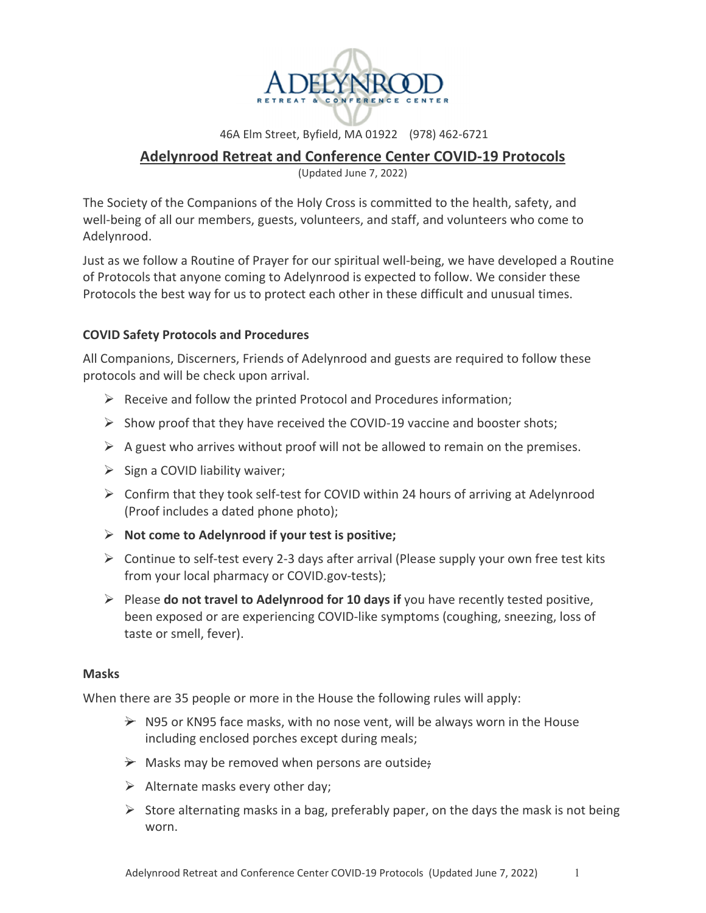

46A Elm Street, Byfield, MA 01922 (978) 462-6721

# **Adelynrood Retreat and Conference Center COVID‐19 Protocols**

(Updated June 7, 2022)

The Society of the Companions of the Holy Cross is committed to the health, safety, and well-being of all our members, guests, volunteers, and staff, and volunteers who come to Adelynrood.

Just as we follow a Routine of Prayer for our spiritual well‐being, we have developed a Routine of Protocols that anyone coming to Adelynrood is expected to follow. We consider these Protocols the best way for us to protect each other in these difficult and unusual times.

# **COVID Safety Protocols and Procedures**

All Companions, Discerners, Friends of Adelynrood and guests are required to follow these protocols and will be check upon arrival.

- $\triangleright$  Receive and follow the printed Protocol and Procedures information;
- $\triangleright$  Show proof that they have received the COVID-19 vaccine and booster shots;
- $\triangleright$  A guest who arrives without proof will not be allowed to remain on the premises.
- $\triangleright$  Sign a COVID liability waiver;
- Confirm that they took self‐test for COVID within 24 hours of arriving at Adelynrood (Proof includes a dated phone photo);
- **Not come to Adelynrood if your test is positive;**
- $\triangleright$  Continue to self-test every 2-3 days after arrival (Please supply your own free test kits from your local pharmacy or COVID.gov-tests);
- Please **do not travel to Adelynrood for 10 days if** you have recently tested positive, been exposed or are experiencing COVID‐like symptoms (coughing, sneezing, loss of taste or smell, fever).

# **Masks**

When there are 35 people or more in the House the following rules will apply:

- $\rightarrow$  N95 or KN95 face masks, with no nose vent, will be always worn in the House including enclosed porches except during meals;
- $\rightarrow$  Masks may be removed when persons are outside;
- $\triangleright$  Alternate masks every other day;
- $\triangleright$  Store alternating masks in a bag, preferably paper, on the days the mask is not being worn.